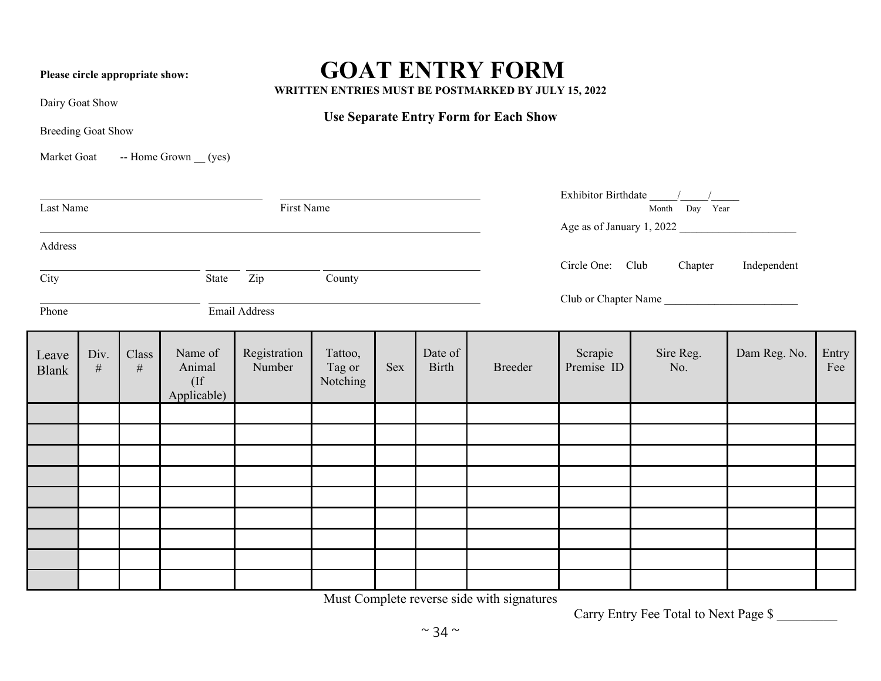## Please circle appropriate show: **GOAT ENTRY FORM**

**WRITTEN ENTRIES MUST BE POSTMARKED BY JULY 15, 2022**

**Use Separate Entry Form for Each Show**

Dairy Goat Show

Breeding Goat Show

Market Goat -- Home Grown (yes)

| First Name<br>Last Name     |           |               |                                            |                        |                               |     |                                         | Month Day Year |                           |                  |              |              |  |
|-----------------------------|-----------|---------------|--------------------------------------------|------------------------|-------------------------------|-----|-----------------------------------------|----------------|---------------------------|------------------|--------------|--------------|--|
|                             |           |               |                                            |                        |                               |     |                                         |                | Age as of January 1, 2022 |                  |              |              |  |
| Address                     |           |               |                                            |                        |                               |     |                                         |                |                           |                  |              |              |  |
| City<br>Zip County<br>State |           |               |                                            |                        |                               |     | Circle One: Club Chapter<br>Independent |                |                           |                  |              |              |  |
|                             |           |               |                                            |                        |                               |     |                                         |                |                           |                  |              |              |  |
| Phone<br>Email Address      |           |               |                                            |                        |                               |     |                                         |                | Club or Chapter Name      |                  |              |              |  |
|                             |           |               |                                            |                        |                               |     |                                         |                |                           |                  |              |              |  |
| Leave<br><b>Blank</b>       | Div.<br># | Class<br>$\#$ | Name of<br>Animal<br>$($ If<br>Applicable) | Registration<br>Number | Tattoo,<br>Tag or<br>Notching | Sex | Date of<br><b>Birth</b>                 | Breeder        | Scrapie<br>Premise ID     | Sire Reg.<br>No. | Dam Reg. No. | Entry<br>Fee |  |
|                             |           |               |                                            |                        |                               |     |                                         |                |                           |                  |              |              |  |
|                             |           |               |                                            |                        |                               |     |                                         |                |                           |                  |              |              |  |
|                             |           |               |                                            |                        |                               |     |                                         |                |                           |                  |              |              |  |
|                             |           |               |                                            |                        |                               |     |                                         |                |                           |                  |              |              |  |
|                             |           |               |                                            |                        |                               |     |                                         |                |                           |                  |              |              |  |
|                             |           |               |                                            |                        |                               |     |                                         |                |                           |                  |              |              |  |
|                             |           |               |                                            |                        |                               |     |                                         |                |                           |                  |              |              |  |
|                             |           |               |                                            |                        |                               |     |                                         |                |                           |                  |              |              |  |
|                             |           |               |                                            |                        |                               |     |                                         |                |                           |                  |              |              |  |

Must Complete reverse side with signatures

Carry Entry Fee Total to Next Page \$ \_\_\_\_\_\_\_\_\_